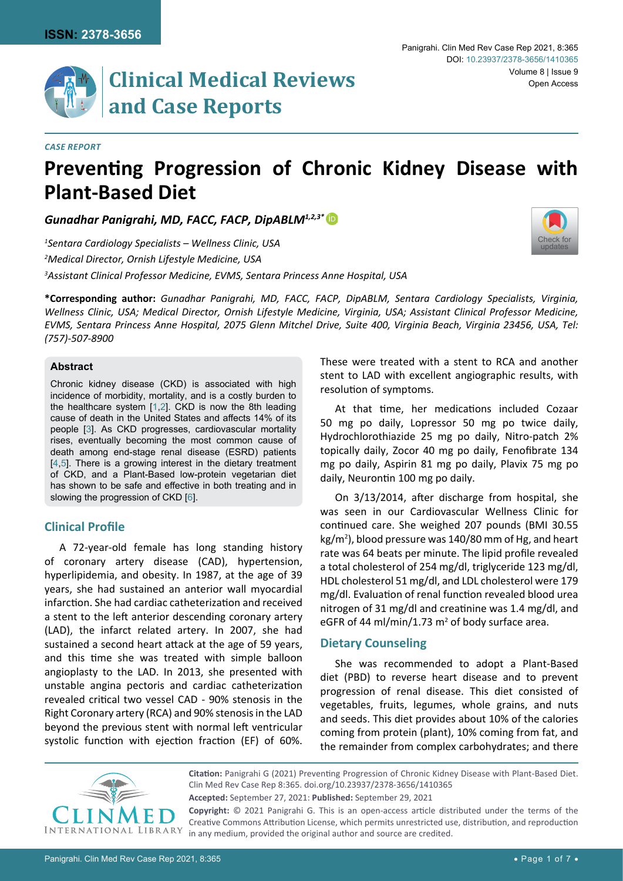

#### *Case Report*

# **Preventing Progression of Chronic Kidney Disease with Plant-Based Diet**

*Gunadhar Panigrahi, MD, FACC, FACP, DipABLM1,2,3\** [iD](https://orcid.org/0000-0003-4555-2725)

*1 Sentara Cardiology Specialists – Wellness Clinic, USA 2 Medical Director, Ornish Lifestyle Medicine, USA 3 Assistant Clinical Professor Medicine, EVMS, Sentara Princess Anne Hospital, USA*



**\*Corresponding author:** *Gunadhar Panigrahi, MD, FACC, FACP, DipABLM, Sentara Cardiology Specialists, Virginia, Wellness Clinic, USA; Medical Director, Ornish Lifestyle Medicine, Virginia, USA; Assistant Clinical Professor Medicine, EVMS, Sentara Princess Anne Hospital, 2075 Glenn Mitchel Drive, Suite 400, Virginia Beach, Virginia 23456, USA, Tel: (757)-507-8900*

## **Abstract**

Chronic kidney disease (CKD) is associated with high incidence of morbidity, mortality, and is a costly burden to the healthcare system [[1,](#page-5-0)[2](#page-5-1)]. CKD is now the 8th leading cause of death in the United States and affects 14% of its people [\[3](#page-5-2)]. As CKD progresses, cardiovascular mortality rises, eventually becoming the most common cause of death among end-stage renal disease (ESRD) patients [[4,](#page-5-3)[5](#page-5-4)]. There is a growing interest in the dietary treatment of CKD, and a Plant-Based low-protein vegetarian diet has shown to be safe and effective in both treating and in slowing the progression of CKD [\[6](#page-5-5)].

# **Clinical Profile**

A 72-year-old female has long standing history of coronary artery disease (CAD), hypertension, hyperlipidemia, and obesity. In 1987, at the age of 39 years, she had sustained an anterior wall myocardial infarction. She had cardiac catheterization and received a stent to the left anterior descending coronary artery (LAD), the infarct related artery. In 2007, she had sustained a second heart attack at the age of 59 years, and this time she was treated with simple balloon angioplasty to the LAD. In 2013, she presented with unstable angina pectoris and cardiac catheterization revealed critical two vessel CAD - 90% stenosis in the Right Coronary artery (RCA) and 90% stenosis in the LAD beyond the previous stent with normal left ventricular systolic function with ejection fraction (EF) of 60%.

These were treated with a stent to RCA and another stent to LAD with excellent angiographic results, with resolution of symptoms.

At that time, her medications included Cozaar 50 mg po daily, Lopressor 50 mg po twice daily, Hydrochlorothiazide 25 mg po daily, Nitro-patch 2% topically daily, Zocor 40 mg po daily, Fenofibrate 134 mg po daily, Aspirin 81 mg po daily, Plavix 75 mg po daily, Neurontin 100 mg po daily.

On 3/13/2014, after discharge from hospital, she was seen in our Cardiovascular Wellness Clinic for continued care. She weighed 207 pounds (BMI 30.55 kg/m<sup>2</sup>), blood pressure was 140/80 mm of Hg, and heart rate was 64 beats per minute. The lipid profile revealed a total cholesterol of 254 mg/dl, triglyceride 123 mg/dl, HDL cholesterol 51 mg/dl, and LDL cholesterol were 179 mg/dl. Evaluation of renal function revealed blood urea nitrogen of 31 mg/dl and creatinine was 1.4 mg/dl, and eGFR of 44 ml/min/1.73  $m<sup>2</sup>$  of body surface area.

## **Dietary Counseling**

She was recommended to adopt a Plant-Based diet (PBD) to reverse heart disease and to prevent progression of renal disease. This diet consisted of vegetables, fruits, legumes, whole grains, and nuts and seeds. This diet provides about 10% of the calories coming from protein (plant), 10% coming from fat, and the remainder from complex carbohydrates; and there



**Accepted:** September 27, 2021: **Published:** September 29, 2021 **Citation:** Panigrahi G (2021) Preventing Progression of Chronic Kidney Disease with Plant-Based Diet. Clin Med Rev Case Rep 8:365. [doi.org/10.23937/2378-3656/1410365](https://doi.org/10.23937/2378-3656/1410365)

**Copyright:** © 2021 Panigrahi G. This is an open-access article distributed under the terms of the Creative Commons Attribution License, which permits unrestricted use, distribution, and reproduction in any medium, provided the original author and source are credited.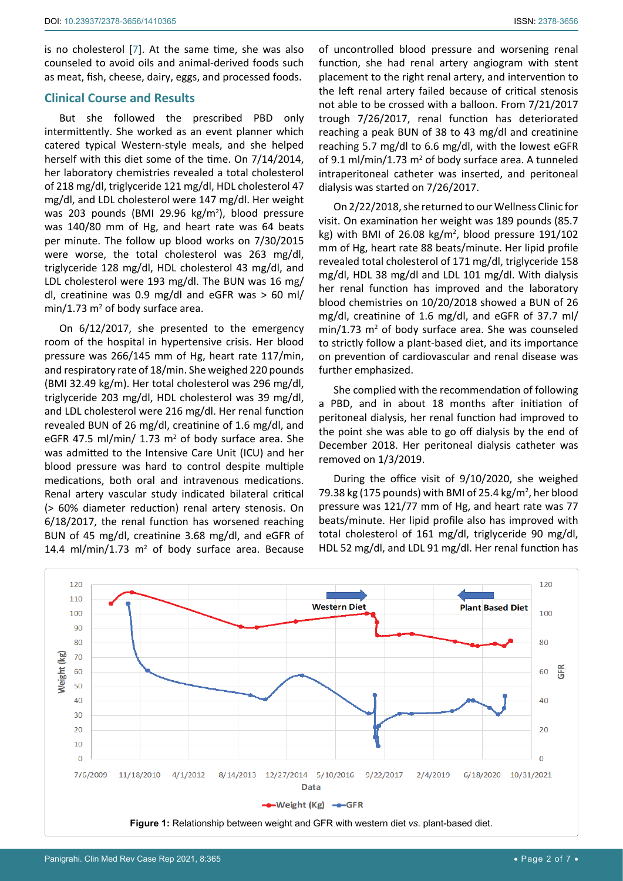is no cholesterol [[7](#page-5-6)]. At the same time, she was also counseled to avoid oils and animal-derived foods such as meat, fish, cheese, dairy, eggs, and processed foods.

## **Clinical Course and Results**

But she followed the prescribed PBD only intermittently. She worked as an event planner which catered typical Western-style meals, and she helped herself with this diet some of the time. On 7/14/2014, her laboratory chemistries revealed a total cholesterol of 218 mg/dl, triglyceride 121 mg/dl, HDL cholesterol 47 mg/dl, and LDL cholesterol were 147 mg/dl. Her weight was 203 pounds (BMI 29.96 kg/m<sup>2</sup>), blood pressure was 140/80 mm of Hg, and heart rate was 64 beats per minute. The follow up blood works on 7/30/2015 were worse, the total cholesterol was 263 mg/dl, triglyceride 128 mg/dl, HDL cholesterol 43 mg/dl, and LDL cholesterol were 193 mg/dl. The BUN was 16 mg/ dl, creatinine was 0.9 mg/dl and eGFR was > 60 ml/ min/1.73 m<sup>2</sup> of body surface area.

On 6/12/2017, she presented to the emergency room of the hospital in hypertensive crisis. Her blood pressure was 266/145 mm of Hg, heart rate 117/min, and respiratory rate of 18/min. She weighed 220 pounds (BMI 32.49 kg/m). Her total cholesterol was 296 mg/dl, triglyceride 203 mg/dl, HDL cholesterol was 39 mg/dl, and LDL cholesterol were 216 mg/dl. Her renal function revealed BUN of 26 mg/dl, creatinine of 1.6 mg/dl, and eGFR 47.5 ml/min/  $1.73$  m<sup>2</sup> of body surface area. She was admitted to the Intensive Care Unit (ICU) and her blood pressure was hard to control despite multiple medications, both oral and intravenous medications. Renal artery vascular study indicated bilateral critical (> 60% diameter reduction) renal artery stenosis. On 6/18/2017, the renal function has worsened reaching BUN of 45 mg/dl, creatinine 3.68 mg/dl, and eGFR of 14.4 ml/min/1.73  $m^2$  of body surface area. Because

of uncontrolled blood pressure and worsening renal function, she had renal artery angiogram with stent placement to the right renal artery, and intervention to the left renal artery failed because of critical stenosis not able to be crossed with a balloon. From 7/21/2017 trough 7/26/2017, renal function has deteriorated reaching a peak BUN of 38 to 43 mg/dl and creatinine reaching 5.7 mg/dl to 6.6 mg/dl, with the lowest eGFR of 9.1 ml/min/1.73  $m^2$  of body surface area. A tunneled intraperitoneal catheter was inserted, and peritoneal dialysis was started on 7/26/2017.

On 2/22/2018, she returned to our Wellness Clinic for visit. On examination her weight was 189 pounds (85.7 kg) with BMI of 26.08  $kg/m^2$ , blood pressure 191/102 mm of Hg, heart rate 88 beats/minute. Her lipid profile revealed total cholesterol of 171 mg/dl, triglyceride 158 mg/dl, HDL 38 mg/dl and LDL 101 mg/dl. With dialysis her renal function has improved and the laboratory blood chemistries on 10/20/2018 showed a BUN of 26 mg/dl, creatinine of 1.6 mg/dl, and eGFR of 37.7 ml/  $min/1.73$   $m<sup>2</sup>$  of body surface area. She was counseled to strictly follow a plant-based diet, and its importance on prevention of cardiovascular and renal disease was further emphasized.

She complied with the recommendation of following a PBD, and in about 18 months after initiation of peritoneal dialysis, her renal function had improved to the point she was able to go off dialysis by the end of December 2018. Her peritoneal dialysis catheter was removed on 1/3/2019.

During the office visit of 9/10/2020, she weighed 79.38 kg (175 pounds) with BMI of 25.4 kg/m<sup>2</sup>, her blood pressure was 121/77 mm of Hg, and heart rate was 77 beats/minute. Her lipid profile also has improved with total cholesterol of 161 mg/dl, triglyceride 90 mg/dl, HDL 52 mg/dl, and LDL 91 mg/dl. Her renal function has

<span id="page-1-0"></span>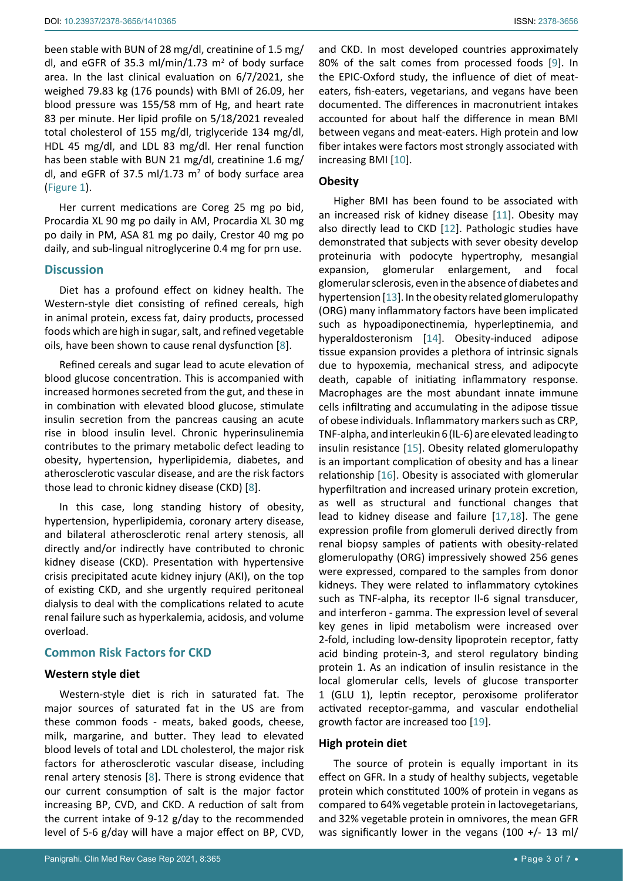been stable with BUN of 28 mg/dl, creatinine of 1.5 mg/ dl, and eGFR of 35.3 ml/min/1.73  $m<sup>2</sup>$  of body surface area. In the last clinical evaluation on 6/7/2021, she weighed 79.83 kg (176 pounds) with BMI of 26.09, her blood pressure was 155/58 mm of Hg, and heart rate 83 per minute. Her lipid profile on 5/18/2021 revealed total cholesterol of 155 mg/dl, triglyceride 134 mg/dl, HDL 45 mg/dl, and LDL 83 mg/dl. Her renal function has been stable with BUN 21 mg/dl, creatinine 1.6 mg/ dl, and eGFR of 37.5 ml/1.73  $m<sup>2</sup>$  of body surface area ([Figure 1\)](#page-1-0).

Her current medications are Coreg 25 mg po bid, Procardia XL 90 mg po daily in AM, Procardia XL 30 mg po daily in PM, ASA 81 mg po daily, Crestor 40 mg po daily, and sub-lingual nitroglycerine 0.4 mg for prn use.

# **Discussion**

Diet has a profound effect on kidney health. The Western-style diet consisting of refined cereals, high in animal protein, excess fat, dairy products, processed foods which are high in sugar, salt, and refined vegetable oils, have been shown to cause renal dysfunction [\[8\]](#page-5-18).

Refined cereals and sugar lead to acute elevation of blood glucose concentration. This is accompanied with increased hormones secreted from the gut, and these in in combination with elevated blood glucose, stimulate insulin secretion from the pancreas causing an acute rise in blood insulin level. Chronic hyperinsulinemia contributes to the primary metabolic defect leading to obesity, hypertension, hyperlipidemia, diabetes, and atherosclerotic vascular disease, and are the risk factors those lead to chronic kidney disease (CKD) [[8](#page-5-18)].

In this case, long standing history of obesity, hypertension, hyperlipidemia, coronary artery disease, and bilateral atherosclerotic renal artery stenosis, all directly and/or indirectly have contributed to chronic kidney disease (CKD). Presentation with hypertensive crisis precipitated acute kidney injury (AKI), on the top of existing CKD, and she urgently required peritoneal dialysis to deal with the complications related to acute renal failure such as hyperkalemia, acidosis, and volume overload.

## **Common Risk Factors for CKD**

## **Western style diet**

Western-style diet is rich in saturated fat. The major sources of saturated fat in the US are from these common foods - meats, baked goods, cheese, milk, margarine, and butter. They lead to elevated blood levels of total and LDL cholesterol, the major risk factors for atherosclerotic vascular disease, including renal artery stenosis [\[8\]](#page-5-18). There is strong evidence that our current consumption of salt is the major factor increasing BP, CVD, and CKD. A reduction of salt from the current intake of 9-12 g/day to the recommended level of 5-6 g/day will have a major effect on BP, CVD,

and CKD. In most developed countries approximately 80% of the salt comes from processed foods [[9](#page-5-7)]. In the EPIC-Oxford study, the influence of diet of meateaters, fish-eaters, vegetarians, and vegans have been documented. The differences in macronutrient intakes accounted for about half the difference in mean BMI between vegans and meat-eaters. High protein and low fiber intakes were factors most strongly associated with increasing BMI [[10](#page-5-8)].

## **Obesity**

Higher BMI has been found to be associated with an increased risk of kidney disease [[11](#page-5-9)]. Obesity may also directly lead to CKD [[12](#page-5-10)]. Pathologic studies have demonstrated that subjects with sever obesity develop proteinuria with podocyte hypertrophy, mesangial expansion, glomerular enlargement, and focal glomerular sclerosis, even in the absence of diabetes and hypertension [[13\]](#page-5-11). In the obesity related glomerulopathy (ORG) many inflammatory factors have been implicated such as hypoadiponectinemia, hyperleptinemia, and hyperaldosteronism [[14\]](#page-5-12). Obesity-induced adipose tissue expansion provides a plethora of intrinsic signals due to hypoxemia, mechanical stress, and adipocyte death, capable of initiating inflammatory response. Macrophages are the most abundant innate immune cells infiltrating and accumulating in the adipose tissue of obese individuals. Inflammatory markers such as CRP, TNF-alpha, and interleukin 6 (IL-6) are elevated leading to insulin resistance [[15](#page-5-13)]. Obesity related glomerulopathy is an important complication of obesity and has a linear relationship [\[16](#page-5-14)]. Obesity is associated with glomerular hyperfiltration and increased urinary protein excretion, as well as structural and functional changes that lead to kidney disease and failure [[17,](#page-5-15)[18\]](#page-5-16). The gene expression profile from glomeruli derived directly from renal biopsy samples of patients with obesity-related glomerulopathy (ORG) impressively showed 256 genes were expressed, compared to the samples from donor kidneys. They were related to inflammatory cytokines such as TNF-alpha, its receptor Il-6 signal transducer, and interferon - gamma. The expression level of several key genes in lipid metabolism were increased over 2-fold, including low-density lipoprotein receptor, fatty acid binding protein-3, and sterol regulatory binding protein 1. As an indication of insulin resistance in the local glomerular cells, levels of glucose transporter 1 (GLU 1), leptin receptor, peroxisome proliferator activated receptor-gamma, and vascular endothelial growth factor are increased too [[19](#page-5-17)].

#### **High protein diet**

The source of protein is equally important in its effect on GFR. In a study of healthy subjects, vegetable protein which constituted 100% of protein in vegans as compared to 64% vegetable protein in lactovegetarians, and 32% vegetable protein in omnivores, the mean GFR was significantly lower in the vegans (100 +/- 13 ml/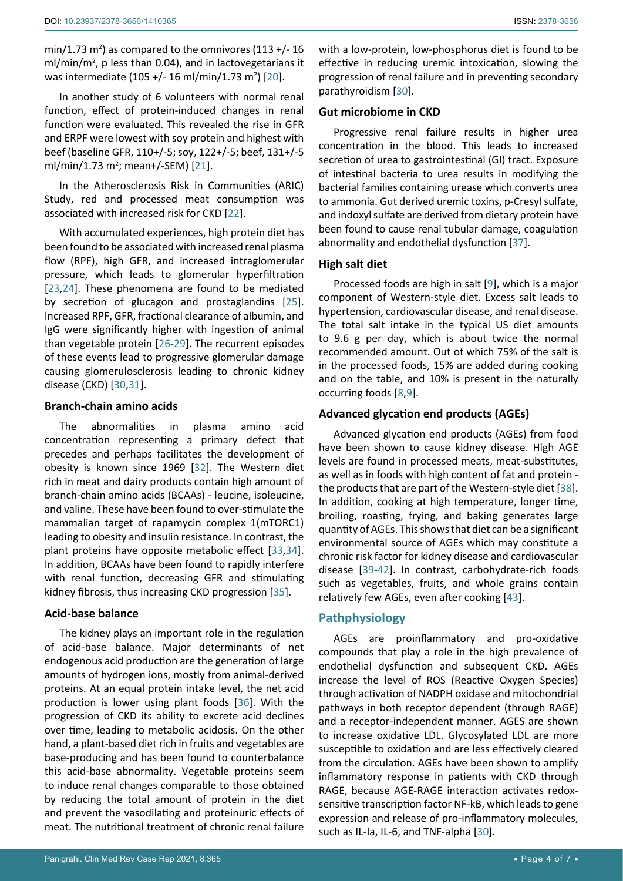min/1.73 m<sup>2</sup>) as compared to the omnivores (113 +/-16  $ml/min/m<sup>2</sup>$ , p less than 0.04), and in lactovegetarians it was intermediate (105 +/- 16 ml/min/1.73 m<sup>2</sup>) [[20](#page-5-19)].

In another study of 6 volunteers with normal renal function, effect of protein-induced changes in renal function were evaluated. This revealed the rise in GFR and ERPF were lowest with soy protein and highest with beef (baseline GFR, 110+/-5; soy, 122+/-5; beef, 131+/-5 ml/min/1.73 m<sup>2</sup>; mean+/-SEM) [[21](#page-5-20)].

In the Atherosclerosis Risk in Communities (ARIC) Study, red and processed meat consumption was associated with increased risk for CKD [[22](#page-5-21)].

With accumulated experiences, high protein diet has been found to be associated with increased renal plasma flow (RPF), high GFR, and increased intraglomerular pressure, which leads to glomerular hyperfiltration [[23](#page-5-22),[24\]](#page-5-23). These phenomena are found to be mediated by secretion of glucagon and prostaglandins [\[25](#page-5-24)]. Increased RPF, GFR, fractional clearance of albumin, and IgG were significantly higher with ingestion of animal than vegetable protein [[26-](#page-5-25)[29](#page-6-6)]. The recurrent episodes of these events lead to progressive glomerular damage causing glomerulosclerosis leading to chronic kidney disease (CKD) [\[30](#page-6-0),[31](#page-6-7)].

# **Branch-chain amino acids**

The abnormalities in plasma amino acid concentration representing a primary defect that precedes and perhaps facilitates the development of obesity is known since 1969 [[32\]](#page-6-8). The Western diet rich in meat and dairy products contain high amount of branch-chain amino acids (BCAAs) - leucine, isoleucine, and valine. These have been found to over-stimulate the mammalian target of rapamycin complex 1(mTORC1) leading to obesity and insulin resistance. In contrast, the plant proteins have opposite metabolic effect [\[33](#page-6-9),[34](#page-6-10)]. In addition, BCAAs have been found to rapidly interfere with renal function, decreasing GFR and stimulating kidney fibrosis, thus increasing CKD progression [\[35](#page-6-11)].

## **Acid-base balance**

The kidney plays an important role in the regulation of acid-base balance. Major determinants of net endogenous acid production are the generation of large amounts of hydrogen ions, mostly from animal-derived proteins. At an equal protein intake level, the net acid production is lower using plant foods [\[36](#page-6-12)]. With the progression of CKD its ability to excrete acid declines over time, leading to metabolic acidosis. On the other hand, a plant-based diet rich in fruits and vegetables are base-producing and has been found to counterbalance this acid-base abnormality. Vegetable proteins seem to induce renal changes comparable to those obtained by reducing the total amount of protein in the diet and prevent the vasodilating and proteinuric effects of meat. The nutritional treatment of chronic renal failure

with a low-protein, low-phosphorus diet is found to be effective in reducing uremic intoxication, slowing the progression of renal failure and in preventing secondary parathyroidism [[30\]](#page-6-0).

## **Gut microbiome in CKD**

Progressive renal failure results in higher urea concentration in the blood. This leads to increased secretion of urea to gastrointestinal (GI) tract. Exposure of intestinal bacteria to urea results in modifying the bacterial families containing urease which converts urea to ammonia. Gut derived uremic toxins, p-Cresyl sulfate, and indoxyl sulfate are derived from dietary protein have been found to cause renal tubular damage, coagulation abnormality and endothelial dysfunction [[37\]](#page-6-1).

## **High salt diet**

Processed foods are high in salt [[9](#page-5-7)], which is a major component of Western-style diet. Excess salt leads to hypertension, cardiovascular disease, and renal disease. The total salt intake in the typical US diet amounts to 9.6 g per day, which is about twice the normal recommended amount. Out of which 75% of the salt is in the processed foods, 15% are added during cooking and on the table, and 10% is present in the naturally occurring foods [\[8](#page-5-18)[,9](#page-5-7)].

## **Advanced glycation end products (AGEs)**

Advanced glycation end products (AGEs) from food have been shown to cause kidney disease. High AGE levels are found in processed meats, meat-substitutes, as well as in foods with high content of fat and protein the products that are part of the Western-style diet [\[38\]](#page-6-2). In addition, cooking at high temperature, longer time, broiling, roasting, frying, and baking generates large quantity of AGEs. This shows that diet can be a significant environmental source of AGEs which may constitute a chronic risk factor for kidney disease and cardiovascular disease [\[39-](#page-6-3)[42](#page-6-4)]. In contrast, carbohydrate-rich foods such as vegetables, fruits, and whole grains contain relatively few AGEs, even after cooking [\[43\]](#page-6-5).

## **Pathphysiology**

AGEs are proinflammatory and pro-oxidative compounds that play a role in the high prevalence of endothelial dysfunction and subsequent CKD. AGEs increase the level of ROS (Reactive Oxygen Species) through activation of NADPH oxidase and mitochondrial pathways in both receptor dependent (through RAGE) and a receptor-independent manner. AGES are shown to increase oxidative LDL. Glycosylated LDL are more susceptible to oxidation and are less effectively cleared from the circulation. AGEs have been shown to amplify inflammatory response in patients with CKD through RAGE, because AGE-RAGE interaction activates redoxsensitive transcription factor NF-kB, which leads to gene expression and release of pro-inflammatory molecules, such as IL-Ia, IL-6, and TNF-alpha [\[30](#page-6-0)].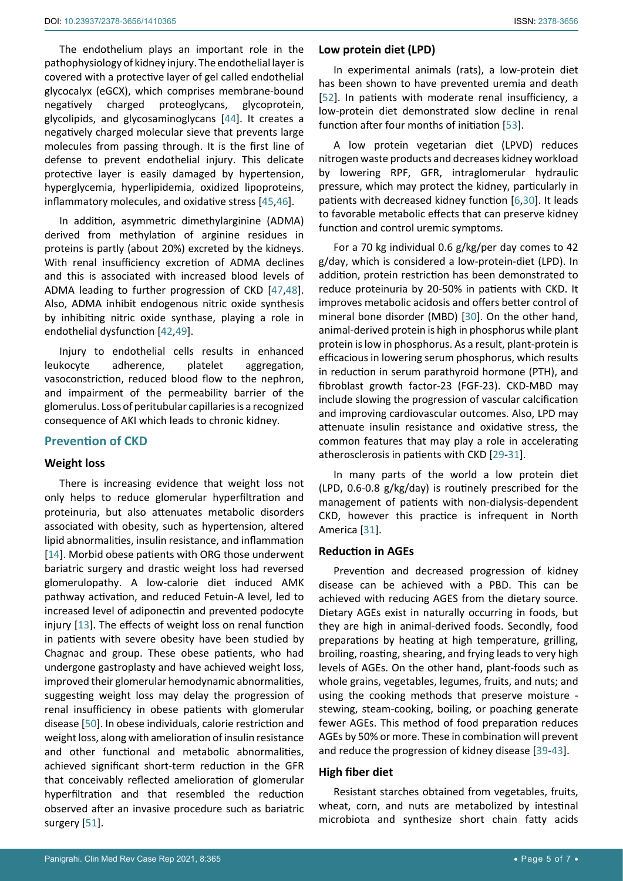The endothelium plays an important role in the pathophysiology of kidney injury. The endothelial layer is covered with a protective layer of gel called endothelial glycocalyx (eGCX), which comprises membrane-bound negatively charged proteoglycans, glycoprotein, glycolipids, and glycosaminoglycans [[44\]](#page-6-15). It creates a negatively charged molecular sieve that prevents large molecules from passing through. It is the first line of defense to prevent endothelial injury. This delicate protective layer is easily damaged by hypertension, hyperglycemia, hyperlipidemia, oxidized lipoproteins, inflammatory molecules, and oxidative stress [\[45](#page-6-16),[46](#page-6-17)].

In addition, asymmetric dimethylarginine (ADMA) derived from methylation of arginine residues in proteins is partly (about 20%) excreted by the kidneys. With renal insufficiency excretion of ADMA declines and this is associated with increased blood levels of ADMA leading to further progression of CKD [\[47](#page-6-18),[48](#page-6-19)]. Also, ADMA inhibit endogenous nitric oxide synthesis by inhibiting nitric oxide synthase, playing a role in endothelial dysfunction [[42](#page-6-4),[49\]](#page-6-20).

Injury to endothelial cells results in enhanced leukocyte adherence, platelet aggregation, vasoconstriction, reduced blood flow to the nephron, and impairment of the permeability barrier of the glomerulus. Loss of peritubular capillaries is a recognized consequence of AKI which leads to chronic kidney.

# **Prevention of CKD**

## **Weight loss**

There is increasing evidence that weight loss not only helps to reduce glomerular hyperfiltration and proteinuria, but also attenuates metabolic disorders associated with obesity, such as hypertension, altered lipid abnormalities, insulin resistance, and inflammation [[14](#page-5-12)]. Morbid obese patients with ORG those underwent bariatric surgery and drastic weight loss had reversed glomerulopathy. A low-calorie diet induced AMK pathway activation, and reduced Fetuin-A level, led to increased level of adiponectin and prevented podocyte injury [\[13\]](#page-5-11). The effects of weight loss on renal function in patients with severe obesity have been studied by Chagnac and group. These obese patients, who had undergone gastroplasty and have achieved weight loss, improved their glomerular hemodynamic abnormalities, suggesting weight loss may delay the progression of renal insufficiency in obese patients with glomerular disease [\[50](#page-6-21)]. In obese individuals, calorie restriction and weight loss, along with amelioration of insulin resistance and other functional and metabolic abnormalities, achieved significant short-term reduction in the GFR that conceivably reflected amelioration of glomerular hyperfiltration and that resembled the reduction observed after an invasive procedure such as bariatric surgery [[51\]](#page-6-22).

#### **Low protein diet (LPD)**

In experimental animals (rats), a low-protein diet has been shown to have prevented uremia and death [\[52](#page-6-13)]. In patients with moderate renal insufficiency, a low-protein diet demonstrated slow decline in renal function after four months of initiation [[53\]](#page-6-14).

A low protein vegetarian diet (LPVD) reduces nitrogen waste products and decreases kidney workload by lowering RPF, GFR, intraglomerular hydraulic pressure, which may protect the kidney, particularly in patients with decreased kidney function [[6](#page-5-5),[30](#page-6-0)]. It leads to favorable metabolic effects that can preserve kidney function and control uremic symptoms.

For a 70 kg individual 0.6 g/kg/per day comes to 42 g/day, which is considered a low-protein-diet (LPD). In addition, protein restriction has been demonstrated to reduce proteinuria by 20-50% in patients with CKD. It improves metabolic acidosis and offers better control of mineral bone disorder (MBD) [\[30\]](#page-6-0). On the other hand, animal-derived protein is high in phosphorus while plant protein is low in phosphorus. As a result, plant-protein is efficacious in lowering serum phosphorus, which results in reduction in serum parathyroid hormone (PTH), and fibroblast growth factor-23 (FGF-23). CKD-MBD may include slowing the progression of vascular calcification and improving cardiovascular outcomes. Also, LPD may attenuate insulin resistance and oxidative stress, the common features that may play a role in accelerating atherosclerosis in patients with CKD [[29](#page-6-6)-[31\]](#page-6-7).

In many parts of the world a low protein diet (LPD, 0.6-0.8 g/kg/day) is routinely prescribed for the management of patients with non-dialysis-dependent CKD, however this practice is infrequent in North America [\[31\]](#page-6-7).

#### **Reduction in AGEs**

Prevention and decreased progression of kidney disease can be achieved with a PBD. This can be achieved with reducing AGES from the dietary source. Dietary AGEs exist in naturally occurring in foods, but they are high in animal-derived foods. Secondly, food preparations by heating at high temperature, grilling, broiling, roasting, shearing, and frying leads to very high levels of AGEs. On the other hand, plant-foods such as whole grains, vegetables, legumes, fruits, and nuts; and using the cooking methods that preserve moisture stewing, steam-cooking, boiling, or poaching generate fewer AGEs. This method of food preparation reduces AGEs by 50% or more. These in combination will prevent and reduce the progression of kidney disease [[39](#page-6-3)[-43](#page-6-5)].

# **High fiber diet**

Resistant starches obtained from vegetables, fruits, wheat, corn, and nuts are metabolized by intestinal microbiota and synthesize short chain fatty acids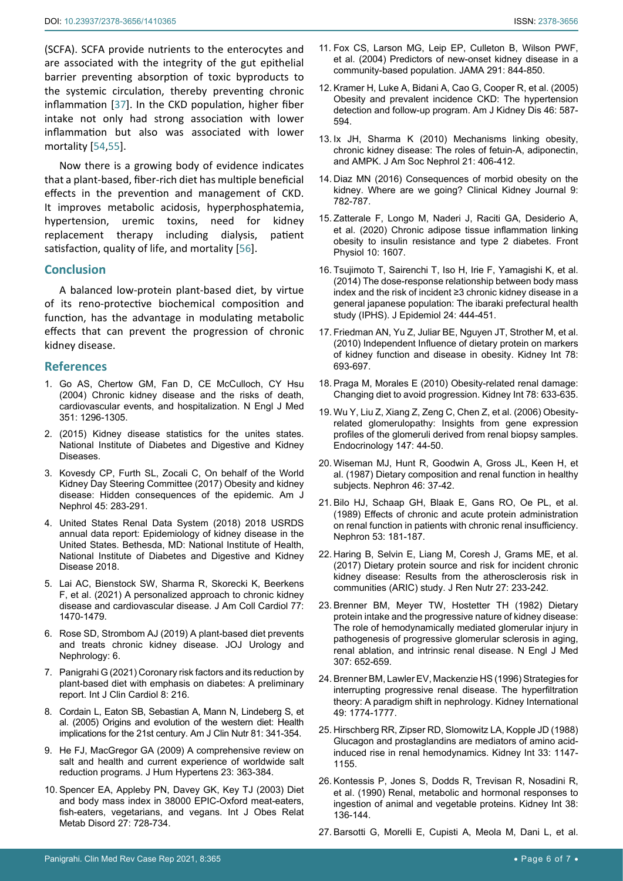(SCFA). SCFA provide nutrients to the enterocytes and are associated with the integrity of the gut epithelial barrier preventing absorption of toxic byproducts to the systemic circulation, thereby preventing chronic inflammation [\[37\]](#page-6-1). In the CKD population, higher fiber intake not only had strong association with lower inflammation but also was associated with lower mortality [\[54](#page-6-23),[55\]](#page-6-24).

Now there is a growing body of evidence indicates that a plant-based, fiber-rich diet has multiple beneficial effects in the prevention and management of CKD. It improves metabolic acidosis, hyperphosphatemia, hypertension, uremic toxins, need for kidney replacement therapy including dialysis, patient satisfaction, quality of life, and mortality [[56\]](#page-6-25).

## **Conclusion**

A balanced low-protein plant-based diet, by virtue of its reno-protective biochemical composition and function, has the advantage in modulating metabolic effects that can prevent the progression of chronic kidney disease.

## **References**

- <span id="page-5-0"></span>1. [Go AS, Chertow GM, Fan D, CE McCulloch, CY Hsu](https://pubmed.ncbi.nlm.nih.gov/15385656/)  [\(2004\) Chronic kidney disease and the risks of death,](https://pubmed.ncbi.nlm.nih.gov/15385656/)  [cardiovascular events, and hospitalization. N Engl J Med](https://pubmed.ncbi.nlm.nih.gov/15385656/)  [351: 1296-1305.](https://pubmed.ncbi.nlm.nih.gov/15385656/)
- <span id="page-5-1"></span>2. [\(2015\) Kidney disease statistics for the unites states.](https://www.niddk.nih.gov/health-information/health-statistics/kidney-disease)  [National Institute of Diabetes and Digestive and Kidney](https://www.niddk.nih.gov/health-information/health-statistics/kidney-disease)  [Diseases.](https://www.niddk.nih.gov/health-information/health-statistics/kidney-disease)
- <span id="page-5-2"></span>3. [Kovesdy CP, Furth SL, Zocali C, On behalf of the World](https://www.karger.com/Article/Fulltext/458467)  [Kidney Day Steering Committee \(2017\) Obesity and kidney](https://www.karger.com/Article/Fulltext/458467)  [disease: Hidden consequences of the epidemic. Am J](https://www.karger.com/Article/Fulltext/458467)  [Nephrol 45: 283-291.](https://www.karger.com/Article/Fulltext/458467)
- <span id="page-5-3"></span>4. United States Renal Data System (2018) 2018 USRDS annual data report: Epidemiology of kidney disease in the United States. Bethesda, MD: National Institute of Health, National Institute of Diabetes and Digestive and Kidney Disease 2018.
- <span id="page-5-4"></span>5. [Lai AC, Bienstock SW, Sharma R, Skorecki K, Beerkens](https://pubmed.ncbi.nlm.nih.gov/33736830/)  [F, et al. \(2021\) A personalized approach to chronic kidney](https://pubmed.ncbi.nlm.nih.gov/33736830/)  [disease and cardiovascular disease. J Am Coll Cardiol 77:](https://pubmed.ncbi.nlm.nih.gov/33736830/)  [1470-1479.](https://pubmed.ncbi.nlm.nih.gov/33736830/)
- <span id="page-5-5"></span>6. [Rose SD, Strombom AJ \(2019\) A plant-based diet prevents](https://juniperpublishers.com/jojun/pdf/JOJUN.MS.ID.555687.pdf)  [and treats chronic kidney disease. JOJ Urology and](https://juniperpublishers.com/jojun/pdf/JOJUN.MS.ID.555687.pdf)  [Nephrology: 6.](https://juniperpublishers.com/jojun/pdf/JOJUN.MS.ID.555687.pdf)
- <span id="page-5-6"></span>7. [Panigrahi G \(2021\) Coronary risk factors and its reduction by](https://clinmedjournals.org/articles/ijcc/international-journal-of-clinical-cardiology-ijcc-8-216.php?jid=ijcc)  [plant-based diet with emphasis on diabetes: A preliminary](https://clinmedjournals.org/articles/ijcc/international-journal-of-clinical-cardiology-ijcc-8-216.php?jid=ijcc)  [report. Int J Clin Cardiol 8: 216.](https://clinmedjournals.org/articles/ijcc/international-journal-of-clinical-cardiology-ijcc-8-216.php?jid=ijcc)
- <span id="page-5-18"></span>8. [Cordain L, Eaton SB, Sebastian A, Mann N, Lindeberg S, et](https://pubmed.ncbi.nlm.nih.gov/15699220/)  [al. \(2005\) Origins and evolution of the western diet: Health](https://pubmed.ncbi.nlm.nih.gov/15699220/)  [implications for the 21st century. Am J Clin Nutr 81: 341-354.](https://pubmed.ncbi.nlm.nih.gov/15699220/)
- <span id="page-5-7"></span>9. [He FJ, MacGregor GA \(2009\) A comprehensive review on](https://pubmed.ncbi.nlm.nih.gov/19110538/)  [salt and health and current experience of worldwide salt](https://pubmed.ncbi.nlm.nih.gov/19110538/)  [reduction programs. J Hum Hypertens 23: 363-384.](https://pubmed.ncbi.nlm.nih.gov/19110538/)
- <span id="page-5-8"></span>10. [Spencer EA, Appleby PN, Davey GK, Key TJ \(2003\) Diet](https://pubmed.ncbi.nlm.nih.gov/12833118/)  [and body mass index in 38000 EPIC-Oxford meat-eaters,](https://pubmed.ncbi.nlm.nih.gov/12833118/)  [fish-eaters, vegetarians, and vegans. Int J Obes Relat](https://pubmed.ncbi.nlm.nih.gov/12833118/)  [Metab Disord 27: 728-734.](https://pubmed.ncbi.nlm.nih.gov/12833118/)
- <span id="page-5-10"></span><span id="page-5-9"></span>12. [Kramer H, Luke A, Bidani A, Cao G, Cooper R, et al. \(2005\)](https://pubmed.ncbi.nlm.nih.gov/16183412/)  [Obesity and prevalent incidence CKD: The hypertension](https://pubmed.ncbi.nlm.nih.gov/16183412/)  [detection and follow-up program. Am J Kidney Dis 46: 587-](https://pubmed.ncbi.nlm.nih.gov/16183412/) [594.](https://pubmed.ncbi.nlm.nih.gov/16183412/)
- <span id="page-5-11"></span>13. [Ix JH, Sharma K \(2010\) Mechanisms linking obesity,](https://pubmed.ncbi.nlm.nih.gov/20150538/)  [chronic kidney disease: The roles of fetuin-A, adiponectin,](https://pubmed.ncbi.nlm.nih.gov/20150538/)  [and AMPK. J Am Soc Nephrol 21: 406-412.](https://pubmed.ncbi.nlm.nih.gov/20150538/)
- <span id="page-5-12"></span>14. [Diaz MN \(2016\) Consequences of morbid obesity on the](https://academic.oup.com/ckj/article/9/6/782/2709624?login=true)  [kidney. Where are we going? Clinical Kidney Journal 9:](https://academic.oup.com/ckj/article/9/6/782/2709624?login=true)  [782-787.](https://academic.oup.com/ckj/article/9/6/782/2709624?login=true)
- <span id="page-5-13"></span>15. [Zatterale F, Longo M, Naderi J, Raciti GA, Desiderio A,](https://pubmed.ncbi.nlm.nih.gov/32063863/)  [et al. \(2020\) Chronic adipose tissue inflammation linking](https://pubmed.ncbi.nlm.nih.gov/32063863/)  [obesity to insulin resistance and type 2 diabetes. Front](https://pubmed.ncbi.nlm.nih.gov/32063863/)  [Physiol 10: 1607.](https://pubmed.ncbi.nlm.nih.gov/32063863/)
- <span id="page-5-14"></span>16. [Tsujimoto T, Sairenchi T, Iso H, Irie F, Yamagishi K, et al.](https://pubmed.ncbi.nlm.nih.gov/24998954/)  [\(2014\) The dose-response relationship between body mass](https://pubmed.ncbi.nlm.nih.gov/24998954/)  [index and the risk of incident ≥3 chronic kidney disease in a](https://pubmed.ncbi.nlm.nih.gov/24998954/)  [general japanese population: The ibaraki prefectural health](https://pubmed.ncbi.nlm.nih.gov/24998954/)  [study \(IPHS\). J Epidemiol 24: 444-451.](https://pubmed.ncbi.nlm.nih.gov/24998954/)
- <span id="page-5-15"></span>17. [Friedman AN, Yu Z, Juliar BE, Nguyen JT, Strother M, et al.](https://pubmed.ncbi.nlm.nih.gov/20664561/)  [\(2010\) Independent Influence of dietary protein on markers](https://pubmed.ncbi.nlm.nih.gov/20664561/)  [of kidney function and disease in obesity. Kidney Int 78:](https://pubmed.ncbi.nlm.nih.gov/20664561/)  [693-697.](https://pubmed.ncbi.nlm.nih.gov/20664561/)
- <span id="page-5-16"></span>18. [Praga M, Morales E \(2010\) Obesity-related renal damage:](https://pubmed.ncbi.nlm.nih.gov/20842147/)  [Changing diet to avoid progression. Kidney Int 78: 633-635.](https://pubmed.ncbi.nlm.nih.gov/20842147/)
- <span id="page-5-17"></span>19. [Wu Y, Liu Z, Xiang Z, Zeng C, Chen Z, et al. \(2006\) Obesity](https://pubmed.ncbi.nlm.nih.gov/16210374/)[related glomerulopathy: Insights from gene expression](https://pubmed.ncbi.nlm.nih.gov/16210374/)  [profiles of the glomeruli derived from renal biopsy samples.](https://pubmed.ncbi.nlm.nih.gov/16210374/)  [Endocrinology 147: 44-50.](https://pubmed.ncbi.nlm.nih.gov/16210374/)
- <span id="page-5-19"></span>20. [Wiseman MJ, Hunt R, Goodwin A, Gross JL, Keen H, et](https://pubmed.ncbi.nlm.nih.gov/3600911/)  [al. \(1987\) Dietary composition and renal function in healthy](https://pubmed.ncbi.nlm.nih.gov/3600911/)  [subjects. Nephron 46: 37-42.](https://pubmed.ncbi.nlm.nih.gov/3600911/)
- <span id="page-5-20"></span>21. [Bilo HJ, Schaap GH, Blaak E, Gans RO, Oe PL, et al.](https://pubmed.ncbi.nlm.nih.gov/2797339/)  [\(1989\) Effects of chronic and acute protein administration](https://pubmed.ncbi.nlm.nih.gov/2797339/)  [on renal function in patients with chronic renal insufficiency.](https://pubmed.ncbi.nlm.nih.gov/2797339/)  [Nephron 53: 181-187.](https://pubmed.ncbi.nlm.nih.gov/2797339/)
- <span id="page-5-21"></span>22. [Haring B, Selvin E, Liang M, Coresh J, Grams ME, et al.](https://pubmed.ncbi.nlm.nih.gov/28065493/)  [\(2017\) Dietary protein source and risk for incident chronic](https://pubmed.ncbi.nlm.nih.gov/28065493/)  [kidney disease: Results from the atherosclerosis risk in](https://pubmed.ncbi.nlm.nih.gov/28065493/)  [communities \(ARIC\) study. J Ren Nutr 27: 233-242.](https://pubmed.ncbi.nlm.nih.gov/28065493/)
- <span id="page-5-22"></span>23. [Brenner BM, Meyer TW, Hostetter TH \(1982\) Dietary](https://pubmed.ncbi.nlm.nih.gov/7050706/)  [protein intake and the progressive nature of kidney disease:](https://pubmed.ncbi.nlm.nih.gov/7050706/)  [The role of hemodynamically mediated glomerular injury in](https://pubmed.ncbi.nlm.nih.gov/7050706/)  [pathogenesis of progressive glomerular sclerosis in aging,](https://pubmed.ncbi.nlm.nih.gov/7050706/)  [renal ablation, and intrinsic renal disease. N Engl J Med](https://pubmed.ncbi.nlm.nih.gov/7050706/)  [307: 652-659.](https://pubmed.ncbi.nlm.nih.gov/7050706/)
- <span id="page-5-23"></span>24. [Brenner BM, Lawler EV, Mackenzie HS \(1996\) Strategies for](https://www.sciencedirect.com/science/article/pii/S0085253815595598)  [interrupting progressive renal disease. The hyperfiltration](https://www.sciencedirect.com/science/article/pii/S0085253815595598)  [theory: A paradigm shift in nephrology. Kidney International](https://www.sciencedirect.com/science/article/pii/S0085253815595598)  [49: 1774-1777.](https://www.sciencedirect.com/science/article/pii/S0085253815595598)
- <span id="page-5-24"></span>25. [Hirschberg RR, Zipser RD, Slomowitz LA, Kopple JD \(1988\)](https://pubmed.ncbi.nlm.nih.gov/3404814/)  [Glucagon and prostaglandins are mediators of amino acid](https://pubmed.ncbi.nlm.nih.gov/3404814/)[induced rise in renal hemodynamics. Kidney Int 33: 1147-](https://pubmed.ncbi.nlm.nih.gov/3404814/) [1155.](https://pubmed.ncbi.nlm.nih.gov/3404814/)
- <span id="page-5-25"></span>26. [Kontessis P, Jones S, Dodds R, Trevisan R, Nosadini R,](https://pubmed.ncbi.nlm.nih.gov/2166857/)  [et al. \(1990\) Renal, metabolic and hormonal responses to](https://pubmed.ncbi.nlm.nih.gov/2166857/)  [ingestion of animal and vegetable proteins. Kidney Int 38:](https://pubmed.ncbi.nlm.nih.gov/2166857/)  [136-144.](https://pubmed.ncbi.nlm.nih.gov/2166857/)
- 27. [Barsotti G, Morelli E, Cupisti A, Meola M, Dani L, et al.](https://pubmed.ncbi.nlm.nih.gov/8893161/)